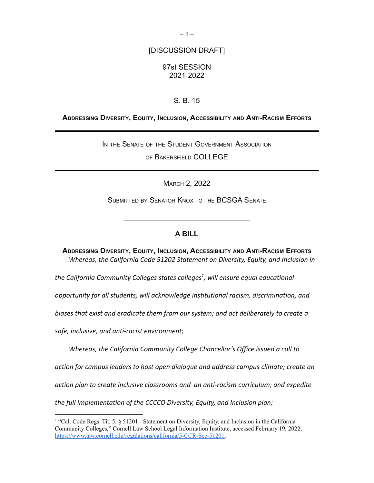# [DISCUSSION DRAFT]

# 97st SESSION 2021-2022

# S. B. 15

#### **ADDRESSING DIVERSITY, EQUITY, INCLUSION, ACCESSIBILITY AND ANTI-RACISM EFFORTS**

IN THE SENATE OF THE STUDENT GOVERNMENT ASSOCIATION

OF BAKERSFIELD COLLEGE

MARCH 2, 2022

SUBMITTED BY SENATOR KNOX TO THE BCSGA SENATE

 $\mathcal{L}_\text{max}$  , where  $\mathcal{L}_\text{max}$  is the set of  $\mathcal{L}_\text{max}$ 

#### **A BILL**

**ADDRESSING DIVERSITY, EQUITY, INCLUSION, ACCESSIBILITY AND ANTI-RACISM EFFORTS** *Whereas, the California Code 51202 Statement on Diversity, Equity, and Inclusion in*

*the California Community Colleges states colleges<sup>1</sup> ; will ensure equal educational*

*opportunity for all students; will acknowledge institutional racism, discrimination, and*

*biases that exist and eradicate them from our system; and act deliberately to create a*

*safe, inclusive, and anti-racist environment;*

*Whereas, the California Community College Chancellor's Office issued a call to*

*action for campus leaders to host open dialogue and address campus climate; create an*

*action plan to create inclusive classrooms and an anti-racism curriculum; and expedite*

*the full implementation of the CCCCO Diversity, Equity, and Inclusion plan;*

<sup>&</sup>lt;sup>1</sup> "Cal. Code Regs. Tit. 5, § 51201 - Statement on Diversity, Equity, and Inclusion in the California Community Colleges," Cornell Law School Legal Information Institute, accessed February 19, 2022, [https://www.law.cornell.edu/regulations/california/5-CCR-Sec-51201.](https://www.law.cornell.edu/regulations/california/5-CCR-Sec-51201)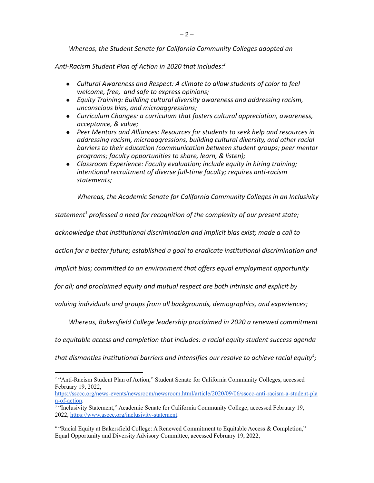*Whereas, the Student Senate for California Community Colleges adopted an*

*Anti-Racism Student Plan of Action in 2020 that includes:<sup>2</sup>*

- *● Cultural Awareness and Respect: A climate to allow students of color to feel welcome, free, and safe to express opinions;*
- *● Equity Training: Building cultural diversity awareness and addressing racism, unconscious bias, and microaggressions;*
- *● Curriculum Changes: a curriculum that fosters cultural appreciation, awareness, acceptance, & value;*
- *● Peer Mentors and Alliances: Resources for students to seek help and resources in addressing racism, microaggressions, building cultural diversity, and other racial barriers to their education (communication between student groups; peer mentor programs; faculty opportunities to share, learn, & listen);*
- *● Classroom Experience: Faculty evaluation; include equity in hiring training; intentional recruitment of diverse full-time faculty; requires anti-racism statements;*

*Whereas, the Academic Senate for California Community Colleges in an Inclusivity*

*statement <sup>3</sup> professed a need for recognition of the complexity of our present state;*

*acknowledge that institutional discrimination and implicit bias exist; made a call to*

*action for a better future; established a goal to eradicate institutional discrimination and*

*implicit bias; committed to an environment that offers equal employment opportunity*

*for all; and proclaimed equity and mutual respect are both intrinsic and explicit by*

*valuing individuals and groups from all backgrounds, demographics, and experiences;*

*Whereas, Bakersfield College leadership proclaimed in 2020 a renewed commitment*

*to equitable access and completion that includes: a racial equity student success agenda*

*that dismantles institutional barriers and intensifies our resolve to achieve racial equity<sup>4</sup> ;*

<sup>&</sup>lt;sup>2</sup> "Anti-Racism Student Plan of Action," Student Senate for California Community Colleges, accessed February 19, 2022,

[https://ssccc.org/news-events/newsroom/newsroom.html/article/2020/09/06/ssccc-anti-racism-a-student-pla](https://ssccc.org/news-events/newsroom/newsroom.html/article/2020/09/06/ssccc-anti-racism-a-student-plan-of-action) [n-of-action](https://ssccc.org/news-events/newsroom/newsroom.html/article/2020/09/06/ssccc-anti-racism-a-student-plan-of-action).

<sup>&</sup>lt;sup>3</sup> "Inclusivity Statement," Academic Senate for California Community College, accessed February 19, 2022, <https://www.asccc.org/inclusivity-statement>.

<sup>&</sup>lt;sup>4</sup> "Racial Equity at Bakersfield College: A Renewed Commitment to Equitable Access & Completion," Equal Opportunity and Diversity Advisory Committee, accessed February 19, 2022,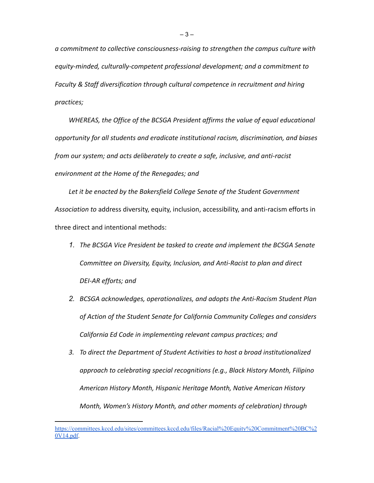*a commitment to collective consciousness-raising to strengthen the campus culture with equity-minded, culturally-competent professional development; and a commitment to Faculty & Staff diversification through cultural competence in recruitment and hiring practices;*

*WHEREAS, the Office of the BCSGA President affirms the value of equal educational opportunity for all students and eradicate institutional racism, discrimination, and biases from our system; and acts deliberately to create a safe, inclusive, and anti-racist environment at the Home of the Renegades; and*

*Let it be enacted by the Bakersfield College Senate of the Student Government Association to* address diversity, equity, inclusion, accessibility, and anti-racism efforts in three direct and intentional methods:

- *1. The BCSGA Vice President be tasked to create and implement the BCSGA Senate Committee on Diversity, Equity, Inclusion, and Anti-Racist to plan and direct DEI-AR efforts; and*
- *2. BCSGA acknowledges, operationalizes, and adopts the Anti-Racism Student Plan of Action of the Student Senate for California Community Colleges and considers California Ed Code in implementing relevant campus practices; and*
- *3. To direct the Department of Student Activities to host a broad institutionalized approach to celebrating special recognitions (e.g., Black History Month, Filipino American History Month, Hispanic Heritage Month, Native American History Month, Women's History Month, and other moments of celebration) through*

[https://committees.kccd.edu/sites/committees.kccd.edu/files/Racial%20Equity%20Commitment%20BC%2](https://committees.kccd.edu/sites/committees.kccd.edu/files/Racial%20Equity%20Commitment%20BC%20V14.pdf) [0V14.pdf](https://committees.kccd.edu/sites/committees.kccd.edu/files/Racial%20Equity%20Commitment%20BC%20V14.pdf).